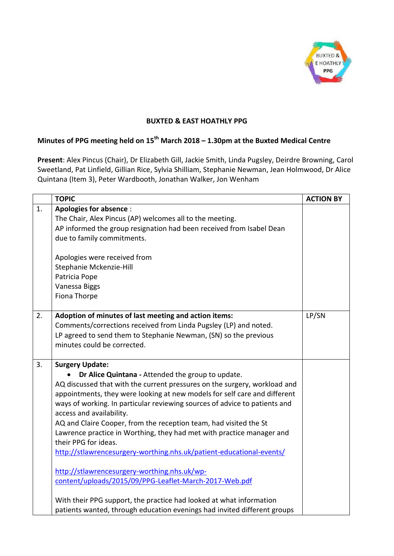

## **BUXTED & EAST HOATHLY PPG**

## **Minutes of PPG meeting held on 15th March 2018 – 1.30pm at the Buxted Medical Centre**

**Present**: Alex Pincus (Chair), Dr Elizabeth Gill, Jackie Smith, Linda Pugsley, Deirdre Browning, Carol Sweetland, Pat Linfield, Gillian Rice, Sylvia Shilliam, Stephanie Newman, Jean Holmwood, Dr Alice Quintana (Item 3), Peter Wardbooth, Jonathan Walker, Jon Wenham

|    | <b>TOPIC</b>                                                               | <b>ACTION BY</b> |
|----|----------------------------------------------------------------------------|------------------|
| 1. | <b>Apologies for absence:</b>                                              |                  |
|    | The Chair, Alex Pincus (AP) welcomes all to the meeting.                   |                  |
|    | AP informed the group resignation had been received from Isabel Dean       |                  |
|    | due to family commitments.                                                 |                  |
|    |                                                                            |                  |
|    | Apologies were received from                                               |                  |
|    | Stephanie Mckenzie-Hill                                                    |                  |
|    | Patricia Pope                                                              |                  |
|    | Vanessa Biggs                                                              |                  |
|    | Fiona Thorpe                                                               |                  |
| 2. | Adoption of minutes of last meeting and action items:                      | LP/SN            |
|    | Comments/corrections received from Linda Pugsley (LP) and noted.           |                  |
|    | LP agreed to send them to Stephanie Newman, (SN) so the previous           |                  |
|    | minutes could be corrected.                                                |                  |
|    |                                                                            |                  |
| 3. | <b>Surgery Update:</b>                                                     |                  |
|    | Dr Alice Quintana - Attended the group to update.                          |                  |
|    | AQ discussed that with the current pressures on the surgery, workload and  |                  |
|    | appointments, they were looking at new models for self care and different  |                  |
|    | ways of working. In particular reviewing sources of advice to patients and |                  |
|    | access and availability.                                                   |                  |
|    | AQ and Claire Cooper, from the reception team, had visited the St          |                  |
|    | Lawrence practice in Worthing, they had met with practice manager and      |                  |
|    | their PPG for ideas.                                                       |                  |
|    | http://stlawrencesurgery-worthing.nhs.uk/patient-educational-events/       |                  |
|    | http://stlawrencesurgery-worthing.nhs.uk/wp-                               |                  |
|    | content/uploads/2015/09/PPG-Leaflet-March-2017-Web.pdf                     |                  |
|    |                                                                            |                  |
|    | With their PPG support, the practice had looked at what information        |                  |
|    | patients wanted, through education evenings had invited different groups   |                  |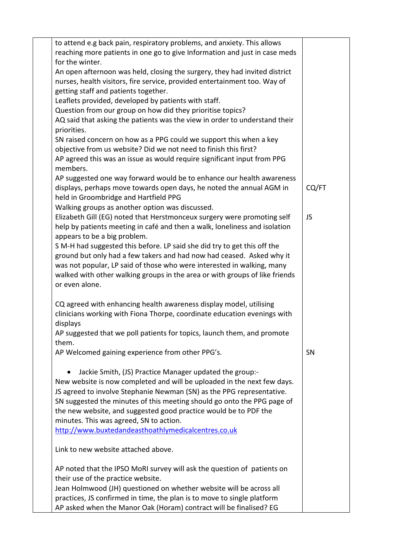| to attend e.g back pain, respiratory problems, and anxiety. This allows                   |           |
|-------------------------------------------------------------------------------------------|-----------|
| reaching more patients in one go to give Information and just in case meds                |           |
| for the winter.                                                                           |           |
| An open afternoon was held, closing the surgery, they had invited district                |           |
| nurses, health visitors, fire service, provided entertainment too. Way of                 |           |
| getting staff and patients together.                                                      |           |
| Leaflets provided, developed by patients with staff.                                      |           |
| Question from our group on how did they prioritise topics?                                |           |
| AQ said that asking the patients was the view in order to understand their<br>priorities. |           |
| SN raised concern on how as a PPG could we support this when a key                        |           |
| objective from us website? Did we not need to finish this first?                          |           |
| AP agreed this was an issue as would require significant input from PPG                   |           |
| members.                                                                                  |           |
| AP suggested one way forward would be to enhance our health awareness                     |           |
| displays, perhaps move towards open days, he noted the annual AGM in                      | CQ/FT     |
| held in Groombridge and Hartfield PPG                                                     |           |
| Walking groups as another option was discussed.                                           |           |
| Elizabeth Gill (EG) noted that Herstmonceux surgery were promoting self                   | <b>JS</b> |
| help by patients meeting in café and then a walk, loneliness and isolation                |           |
| appears to be a big problem.                                                              |           |
| S M-H had suggested this before. LP said she did try to get this off the                  |           |
| ground but only had a few takers and had now had ceased. Asked why it                     |           |
| was not popular, LP said of those who were interested in walking, many                    |           |
| walked with other walking groups in the area or with groups of like friends               |           |
| or even alone.                                                                            |           |
|                                                                                           |           |
| CQ agreed with enhancing health awareness display model, utilising                        |           |
| clinicians working with Fiona Thorpe, coordinate education evenings with                  |           |
| displays                                                                                  |           |
| AP suggested that we poll patients for topics, launch them, and promote                   |           |
| them.                                                                                     |           |
| AP Welcomed gaining experience from other PPG's.                                          | SN        |
|                                                                                           |           |
| Jackie Smith, (JS) Practice Manager updated the group:-                                   |           |
| New website is now completed and will be uploaded in the next few days.                   |           |
| JS agreed to involve Stephanie Newman (SN) as the PPG representative.                     |           |
| SN suggested the minutes of this meeting should go onto the PPG page of                   |           |
| the new website, and suggested good practice would be to PDF the                          |           |
| minutes. This was agreed, SN to action.                                                   |           |
| http://www.buxtedandeasthoathlymedicalcentres.co.uk                                       |           |
|                                                                                           |           |
| Link to new website attached above.                                                       |           |
| AP noted that the IPSO MoRI survey will ask the question of patients on                   |           |
| their use of the practice website.                                                        |           |
| Jean Holmwood (JH) questioned on whether website will be across all                       |           |
| practices, JS confirmed in time, the plan is to move to single platform                   |           |
| AP asked when the Manor Oak (Horam) contract will be finalised? EG                        |           |
|                                                                                           |           |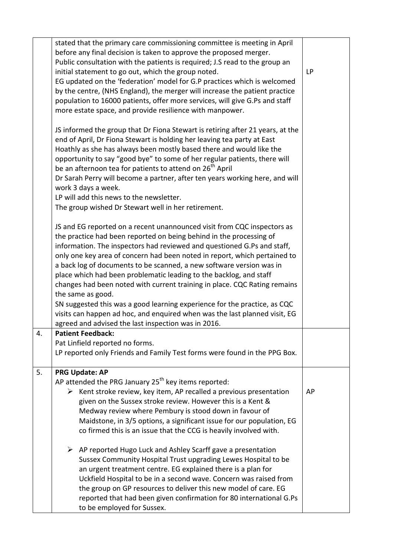|    | stated that the primary care commissioning committee is meeting in April<br>before any final decision is taken to approve the proposed merger.<br>Public consultation with the patients is required; J.S read to the group an<br>initial statement to go out, which the group noted.<br>EG updated on the 'federation' model for G.P practices which is welcomed<br>by the centre, (NHS England), the merger will increase the patient practice<br>population to 16000 patients, offer more services, will give G.Ps and staff<br>more estate space, and provide resilience with manpower.                                                                                                                                                                               | LP |
|----|--------------------------------------------------------------------------------------------------------------------------------------------------------------------------------------------------------------------------------------------------------------------------------------------------------------------------------------------------------------------------------------------------------------------------------------------------------------------------------------------------------------------------------------------------------------------------------------------------------------------------------------------------------------------------------------------------------------------------------------------------------------------------|----|
|    | JS informed the group that Dr Fiona Stewart is retiring after 21 years, at the<br>end of April, Dr Fiona Stewart is holding her leaving tea party at East<br>Hoathly as she has always been mostly based there and would like the<br>opportunity to say "good bye" to some of her regular patients, there will<br>be an afternoon tea for patients to attend on 26 <sup>th</sup> April<br>Dr Sarah Perry will become a partner, after ten years working here, and will<br>work 3 days a week.<br>LP will add this news to the newsletter.<br>The group wished Dr Stewart well in her retirement.                                                                                                                                                                         |    |
|    | JS and EG reported on a recent unannounced visit from CQC inspectors as<br>the practice had been reported on being behind in the processing of<br>information. The inspectors had reviewed and questioned G.Ps and staff,<br>only one key area of concern had been noted in report, which pertained to<br>a back log of documents to be scanned, a new software version was in<br>place which had been problematic leading to the backlog, and staff<br>changes had been noted with current training in place. CQC Rating remains<br>the same as good.<br>SN suggested this was a good learning experience for the practice, as CQC<br>visits can happen ad hoc, and enquired when was the last planned visit, EG<br>agreed and advised the last inspection was in 2016. |    |
| 4. | <b>Patient Feedback:</b>                                                                                                                                                                                                                                                                                                                                                                                                                                                                                                                                                                                                                                                                                                                                                 |    |
|    | Pat Linfield reported no forms.<br>LP reported only Friends and Family Test forms were found in the PPG Box.                                                                                                                                                                                                                                                                                                                                                                                                                                                                                                                                                                                                                                                             |    |
| 5. | <b>PRG Update: AP</b>                                                                                                                                                                                                                                                                                                                                                                                                                                                                                                                                                                                                                                                                                                                                                    |    |
|    | AP attended the PRG January $25^{th}$ key items reported:<br>$\triangleright$ Kent stroke review, key item, AP recalled a previous presentation<br>given on the Sussex stroke review. However this is a Kent &<br>Medway review where Pembury is stood down in favour of<br>Maidstone, in 3/5 options, a significant issue for our population, EG<br>co firmed this is an issue that the CCG is heavily involved with.                                                                                                                                                                                                                                                                                                                                                   | AP |
|    | $\triangleright$ AP reported Hugo Luck and Ashley Scarff gave a presentation<br>Sussex Community Hospital Trust upgrading Lewes Hospital to be<br>an urgent treatment centre. EG explained there is a plan for<br>Uckfield Hospital to be in a second wave. Concern was raised from<br>the group on GP resources to deliver this new model of care. EG<br>reported that had been given confirmation for 80 international G.Ps<br>to be employed for Sussex.                                                                                                                                                                                                                                                                                                              |    |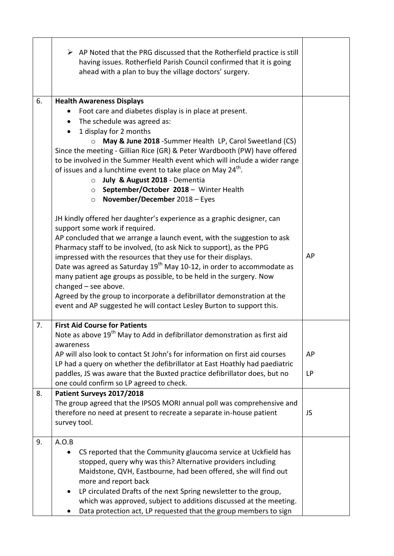|    | $\triangleright$ AP Noted that the PRG discussed that the Rotherfield practice is still<br>having issues. Rotherfield Parish Council confirmed that it is going<br>ahead with a plan to buy the village doctors' surgery.                                                                                                                                                                                                                                                                                                                                                                                                                                               |          |
|----|-------------------------------------------------------------------------------------------------------------------------------------------------------------------------------------------------------------------------------------------------------------------------------------------------------------------------------------------------------------------------------------------------------------------------------------------------------------------------------------------------------------------------------------------------------------------------------------------------------------------------------------------------------------------------|----------|
| 6. | <b>Health Awareness Displays</b><br>Foot care and diabetes display is in place at present.<br>The schedule was agreed as:<br>$\bullet$<br>1 display for 2 months<br>May & June 2018 - Summer Health LP, Carol Sweetland (CS)<br>$\circ$<br>Since the meeting - Gillian Rice (GR) & Peter Wardbooth (PW) have offered<br>to be involved in the Summer Health event which will include a wider range<br>of issues and a lunchtime event to take place on May 24 <sup>th</sup> .<br>July & August 2018 - Dementia<br>$\circ$<br>September/October 2018 - Winter Health<br>$\circ$<br>November/December 2018 - Eyes<br>$\circ$                                              |          |
|    | JH kindly offered her daughter's experience as a graphic designer, can<br>support some work if required.<br>AP concluded that we arrange a launch event, with the suggestion to ask<br>Pharmacy staff to be involved, (to ask Nick to support), as the PPG<br>impressed with the resources that they use for their displays.<br>Date was agreed as Saturday 19 <sup>th</sup> May 10-12, in order to accommodate as<br>many patient age groups as possible, to be held in the surgery. Now<br>changed $-$ see above.<br>Agreed by the group to incorporate a defibrillator demonstration at the<br>event and AP suggested he will contact Lesley Burton to support this. | AP       |
| 7. | <b>First Aid Course for Patients</b><br>Note as above 19 <sup>th</sup> May to Add in defibrillator demonstration as first aid<br>awareness                                                                                                                                                                                                                                                                                                                                                                                                                                                                                                                              |          |
|    | AP will also look to contact St John's for information on first aid courses<br>LP had a query on whether the defibrillator at East Hoathly had paediatric<br>paddles, JS was aware that the Buxted practice defibrillator does, but no<br>one could confirm so LP agreed to check.                                                                                                                                                                                                                                                                                                                                                                                      | AP<br>LP |
| 8. | Patient Surveys 2017/2018<br>The group agreed that the IPSOS MORI annual poll was comprehensive and<br>therefore no need at present to recreate a separate in-house patient<br>survey tool.                                                                                                                                                                                                                                                                                                                                                                                                                                                                             | JS       |
| 9. | A.O.B<br>CS reported that the Community glaucoma service at Uckfield has<br>stopped, query why was this? Alternative providers including<br>Maidstone, QVH, Eastbourne, had been offered, she will find out<br>more and report back<br>LP circulated Drafts of the next Spring newsletter to the group,<br>$\bullet$<br>which was approved, subject to additions discussed at the meeting.<br>Data protection act, LP requested that the group members to sign                                                                                                                                                                                                          |          |